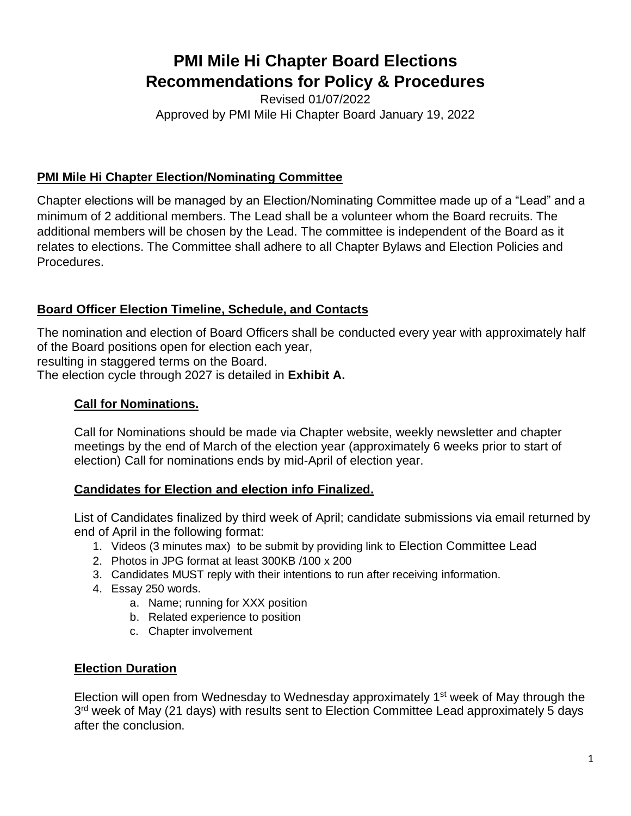# **PMI Mile Hi Chapter Board Elections Recommendations for Policy & Procedures**

Revised 01/07/2022 Approved by PMI Mile Hi Chapter Board January 19, 2022

# **PMI Mile Hi Chapter Election/Nominating Committee**

Chapter elections will be managed by an Election/Nominating Committee made up of a "Lead" and a minimum of 2 additional members. The Lead shall be a volunteer whom the Board recruits. The additional members will be chosen by the Lead. The committee is independent of the Board as it relates to elections. The Committee shall adhere to all Chapter Bylaws and Election Policies and Procedures.

# **Board Officer Election Timeline, Schedule, and Contacts**

The nomination and election of Board Officers shall be conducted every year with approximately half of the Board positions open for election each year, resulting in staggered terms on the Board.

The election cycle through 2027 is detailed in **Exhibit A.**

# **Call for Nominations.**

Call for Nominations should be made via Chapter website, weekly newsletter and chapter meetings by the end of March of the election year (approximately 6 weeks prior to start of election) Call for nominations ends by mid-April of election year.

## **Candidates for Election and election info Finalized.**

List of Candidates finalized by third week of April; candidate submissions via email returned by end of April in the following format:

- 1. Videos (3 minutes max) to be submit by providing link to Election Committee Lead
- 2. Photos in JPG format at least 300KB /100 x 200
- 3. Candidates MUST reply with their intentions to run after receiving information.
- 4. Essay 250 words.
	- a. Name; running for XXX position
	- b. Related experience to position
	- c. Chapter involvement

## **Election Duration**

Election will open from Wednesday to Wednesday approximately 1<sup>st</sup> week of May through the 3<sup>rd</sup> week of May (21 days) with results sent to Election Committee Lead approximately 5 days after the conclusion.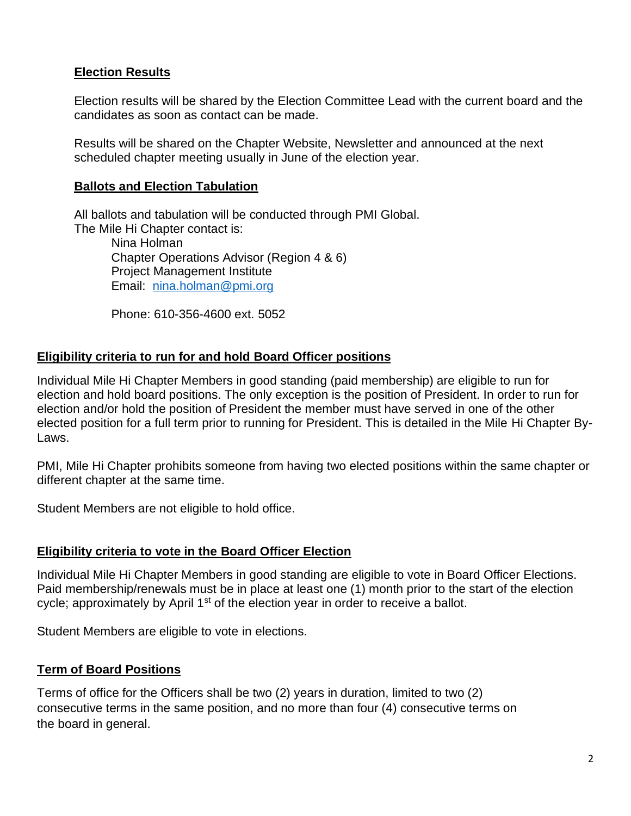# **Election Results**

Election results will be shared by the Election Committee Lead with the current board and the candidates as soon as contact can be made.

Results will be shared on the Chapter Website, Newsletter and announced at the next scheduled chapter meeting usually in June of the election year.

#### **Ballots and Election Tabulation**

All ballots and tabulation will be conducted through PMI Global. The Mile Hi Chapter contact is: Nina Holman

Chapter Operations Advisor (Region 4 & 6) Project Management Institute Email: [nina.holman@pmi.org](mailto:nina.holman@pmi.org)

Phone: 610-356-4600 ext. 5052

#### **Eligibility criteria to run for and hold Board Officer positions**

Individual Mile Hi Chapter Members in good standing (paid membership) are eligible to run for election and hold board positions. The only exception is the position of President. In order to run for election and/or hold the position of President the member must have served in one of the other elected position for a full term prior to running for President. This is detailed in the Mile Hi Chapter By-Laws.

PMI, Mile Hi Chapter prohibits someone from having two elected positions within the same chapter or different chapter at the same time.

Student Members are not eligible to hold office.

#### **Eligibility criteria to vote in the Board Officer Election**

Individual Mile Hi Chapter Members in good standing are eligible to vote in Board Officer Elections. Paid membership/renewals must be in place at least one (1) month prior to the start of the election cycle; approximately by April 1<sup>st</sup> of the election year in order to receive a ballot.

Student Members are eligible to vote in elections.

#### **Term of Board Positions**

Terms of office for the Officers shall be two (2) years in duration, limited to two (2) consecutive terms in the same position, and no more than four (4) consecutive terms on the board in general.